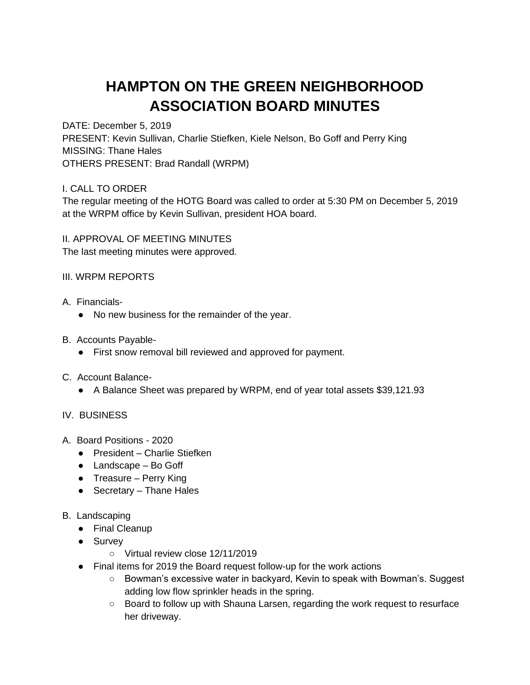## **HAMPTON ON THE GREEN NEIGHBORHOOD ASSOCIATION BOARD MINUTES**

DATE: December 5, 2019

PRESENT: Kevin Sullivan, Charlie Stiefken, Kiele Nelson, Bo Goff and Perry King MISSING: Thane Hales OTHERS PRESENT: Brad Randall (WRPM)

I. CALL TO ORDER

The regular meeting of the HOTG Board was called to order at 5:30 PM on December 5, 2019 at the WRPM office by Kevin Sullivan, president HOA board.

II. APPROVAL OF MEETING MINUTES The last meeting minutes were approved.

III. WRPM REPORTS

- A. Financials-
	- No new business for the remainder of the year.
- B. Accounts Payable-
	- First snow removal bill reviewed and approved for payment.
- C. Account Balance-
	- A Balance Sheet was prepared by WRPM, end of year total assets \$39,121.93

## IV. BUSINESS

- A. Board Positions 2020
	- President Charlie Stiefken
	- Landscape Bo Goff
	- Treasure Perry King
	- $\bullet$  Secretary Thane Hales
- B. Landscaping
	- Final Cleanup
	- Survey
		- Virtual review close 12/11/2019
	- Final items for 2019 the Board request follow-up for the work actions
		- Bowman's excessive water in backyard, Kevin to speak with Bowman's. Suggest adding low flow sprinkler heads in the spring.
		- Board to follow up with Shauna Larsen, regarding the work request to resurface her driveway.